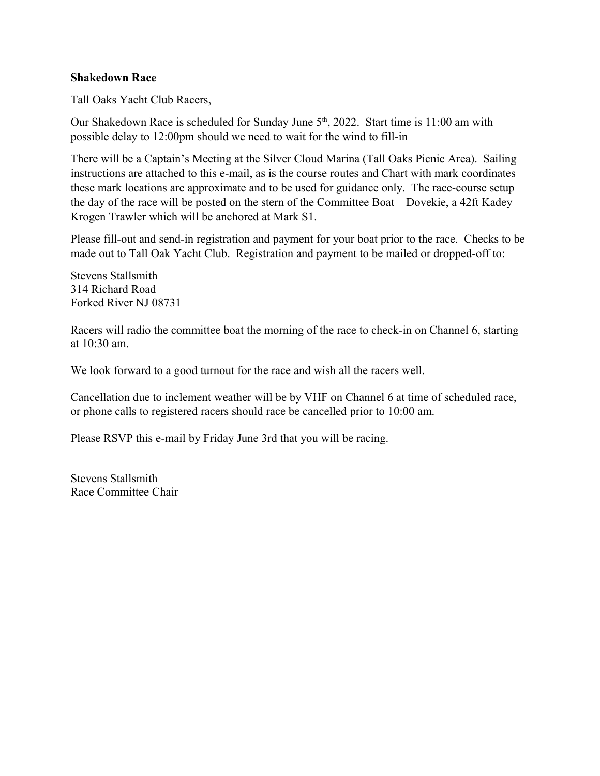## **Shakedown Race**

Tall Oaks Yacht Club Racers,

Our Shakedown Race is scheduled for Sunday June 5<sup>th</sup>, 2022. Start time is 11:00 am with possible delay to 12:00pm should we need to wait for the wind to fill-in

There will be a Captain's Meeting at the Silver Cloud Marina (Tall Oaks Picnic Area). Sailing instructions are attached to this e-mail, as is the course routes and Chart with mark coordinates – these mark locations are approximate and to be used for guidance only. The race-course setup the day of the race will be posted on the stern of the Committee Boat – Dovekie, a 42ft Kadey Krogen Trawler which will be anchored at Mark S1.

Please fill-out and send-in registration and payment for your boat prior to the race. Checks to be made out to Tall Oak Yacht Club. Registration and payment to be mailed or dropped-off to:

Stevens Stallsmith 314 Richard Road Forked River NJ 08731

Racers will radio the committee boat the morning of the race to check-in on Channel 6, starting at 10:30 am.

We look forward to a good turnout for the race and wish all the racers well.

Cancellation due to inclement weather will be by VHF on Channel 6 at time of scheduled race, or phone calls to registered racers should race be cancelled prior to 10:00 am.

Please RSVP this e-mail by Friday June 3rd that you will be racing.

Stevens Stallsmith Race Committee Chair